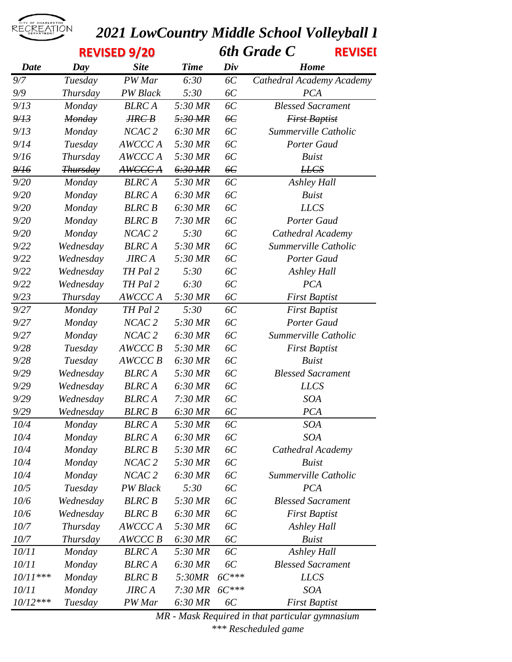

## **2021 LowCountry Middle School Volleyball 1**

|             |                 | <b>REVISED 9/20</b> |             |         | 6th Grade C               | <b>REVISEI</b> |
|-------------|-----------------|---------------------|-------------|---------|---------------------------|----------------|
| <b>Date</b> | Day             | <b>Site</b>         | <b>Time</b> | Div     | <b>Home</b>               |                |
| 9/7         | Tuesday         | PW Mar              | 6:30        | 6C      | Cathedral Academy Academy |                |
| $9/9$       | Thursday        | <b>PW</b> Black     | 5:30        | 6C      | <b>PCA</b>                |                |
| 9/13        | Monday          | <b>BLRCA</b>        | 5:30 MR     | 6C      | <b>Blessed Sacrament</b>  |                |
| 9/13        | <b>Monday</b>   | H R C B             | 5:30 MR     | 66      | <b>First Baptist</b>      |                |
| 9/13        | Monday          | NCAC <sub>2</sub>   | 6:30 MR     | 6C      | Summerville Catholic      |                |
| 9/14        | Tuesday         | AWCCC A             | 5:30 MR     | 6C      | Porter Gaud               |                |
| 9/16        | Thursday        | AWCCC A             | 5:30 MR     | 6C      | <b>Buist</b>              |                |
| 9/16        | <b>Thursday</b> | <b>AWCCCA</b>       | 6:30MR      | 66      | <b>LLCS</b>               |                |
| 9/20        | Monday          | <b>BLRCA</b>        | 5:30 MR     | 6C      | <b>Ashley Hall</b>        |                |
| 9/20        | Monday          | <b>BLRCA</b>        | 6:30 MR     | 6C      | <b>Buist</b>              |                |
| 9/20        | Monday          | <b>BLRC B</b>       | 6:30 MR     | 6C      | <b>LLCS</b>               |                |
| 9/20        | Monday          | <b>BLRC B</b>       | $7:30$ MR   | 6C      | Porter Gaud               |                |
| 9/20        | Monday          | NCAC <sub>2</sub>   | 5:30        | 6C      | Cathedral Academy         |                |
| 9/22        | Wednesday       | <b>BLRCA</b>        | 5:30 MR     | 6C      | Summerville Catholic      |                |
| 9/22        | Wednesday       | <b>JIRCA</b>        | 5:30 MR     | 6C      | Porter Gaud               |                |
| 9/22        | Wednesday       | TH Pal 2            | 5:30        | 6C      | <b>Ashley Hall</b>        |                |
| 9/22        | Wednesday       | TH Pal 2            | 6:30        | 6C      | <b>PCA</b>                |                |
| 9/23        | Thursday        | AWCCC A             | 5:30 MR     | 6C      | <b>First Baptist</b>      |                |
| 9/27        | Monday          | TH Pal 2            | 5:30        | 6C      | <b>First Baptist</b>      |                |
| 9/27        | Monday          | NCAC <sub>2</sub>   | 5:30 MR     | 6C      | <b>Porter Gaud</b>        |                |
| 9/27        | Monday          | NCAC <sub>2</sub>   | 6:30 MR     | 6C      | Summerville Catholic      |                |
| 9/28        | Tuesday         | AWCCC B             | 5:30 MR     | 6C      | <b>First Baptist</b>      |                |
| 9/28        | Tuesday         | AWCCC B             | 6:30 MR     | 6C      | <b>Buist</b>              |                |
| 9/29        | Wednesday       | <b>BLRCA</b>        | 5:30 MR     | 6C      | <b>Blessed Sacrament</b>  |                |
| 9/29        | Wednesday       | <b>BLRCA</b>        | 6:30 MR     | 6C      | <b>LLCS</b>               |                |
| 9/29        | Wednesday       | <b>BLRCA</b>        | $7:30$ MR   | 6C      | <b>SOA</b>                |                |
| 9/29        | Wednesday       | <b>BLRC B</b>       | 6:30 MR     | 6C      | <b>PCA</b>                |                |
| 10/4        | Monday          | <b>BLRCA</b>        | 5:30 MR     | 6C      | SOA                       |                |
| 10/4        | Monday          | <b>BLRCA</b>        | 6:30 MR     | 6C      | <b>SOA</b>                |                |
| 10/4        | Monday          | <b>BLRC B</b>       | 5:30 MR     | 6C      | Cathedral Academy         |                |
| 10/4        | Monday          | NCAC <sub>2</sub>   | 5:30 MR     | 6C      | <b>Buist</b>              |                |
| 10/4        | Monday          | NCAC <sub>2</sub>   | 6:30 MR     | 6C      | Summerville Catholic      |                |
| 10/5        | Tuesday         | PW Black            | 5:30        | 6C      | PCA                       |                |
| 10/6        | Wednesday       | <b>BLRC B</b>       | 5:30 MR     | 6C      | <b>Blessed Sacrament</b>  |                |
| 10/6        | Wednesday       | <b>BLRC B</b>       | 6:30 MR     | 6C      | <b>First Baptist</b>      |                |
| 10/7        | Thursday        | AWCCC A             | 5:30 MR     | 6C      | <b>Ashley Hall</b>        |                |
| 10/7        | Thursday        | AWCCC B             | 6:30 MR     | 6C      | <b>Buist</b>              |                |
| 10/11       | Monday          | <b>BLRCA</b>        | 5:30 MR     | 6C      | <b>Ashley Hall</b>        |                |
| 10/11       | Monday          | <b>BLRCA</b>        | 6:30 MR     | 6C      | <b>Blessed Sacrament</b>  |                |
| $10/11***$  | Monday          | <b>BLRC B</b>       | 5:30MR      | $6C***$ | <b>LLCS</b>               |                |
| 10/11       | Monday          | <b>JIRCA</b>        | $7:30$ MR   | $6C***$ | <b>SOA</b>                |                |
| $10/12***$  | Tuesday         | PW Mar              | 6:30 MR     | 6C      | <b>First Baptist</b>      |                |
|             |                 |                     |             |         |                           |                |

*MR - Mask Required in that particular gymnasium \*\*\* Rescheduled game*